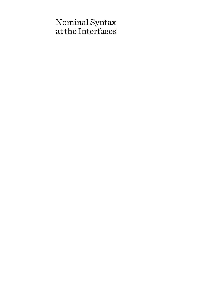# Nominal Syntax at the Interfaces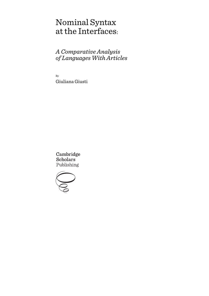# Nominal Syntax at the Interfaces:

## *A Comparative Analysis of Languages With Articles*

By Giuliana Giusti

Cambridge **Scholars** Publishing

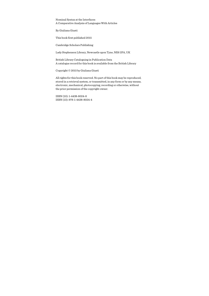Nominal Syntax at the Interfaces: A Comparative Analysis of Languages With Articles

By Giuliana Giusti

This book first published 2015

Cambridge Scholars Publishing

Lady Stephenson Library, Newcastle upon Tyne, NE6 2PA, UK

British Library Cataloguing in Publication Data A catalogue record for this book is available from the British Library

Copyright © 2015 by Giuliana Giusti

All rights for this book reserved. No part of this book may be reproduced, stored in a retrieval system, or transmitted, in any form or by any means, electronic, mechanical, photocopying, recording or otherwise, without the prior permission of the copyright owner.

ISBN (10): 1-4438-8024-8 ISBN (13): 978-1-4438-8024-4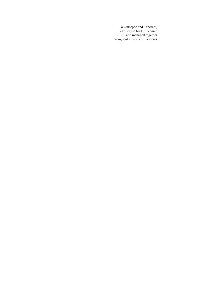To Giuseppe and Tancredi, who stayed back in Venice and managed together throughout all sorts of incidents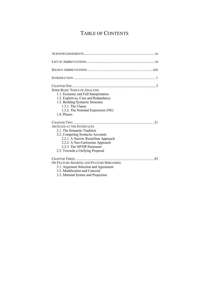# TABLE OF CONTENTS

| <b>SOME BASIC TOOLS OF ANALYSIS</b><br>1.1. Economy and Full Interpretation<br>1.2. Expletives, Case and Redundancy<br>1.3. Building Syntactic Structure<br>1.3.1. The Clause<br>1.3.2. The Nominal Expression (NE)<br>1.4. Phases                 |
|----------------------------------------------------------------------------------------------------------------------------------------------------------------------------------------------------------------------------------------------------|
| <b>ARTICLES AT THE INTERFACES</b><br>2.1. The Semantic Tradition<br>2.2. Competing Syntactic Accounts<br>2.2.1. A Narrow Russellian Approach<br>2.2.2. A Neo-Carlsonian Approach<br>2.2.3. The NP/DP Parameter<br>2.3. Towards a Unifying Proposal |
| ON FEATURE SHARING AND FEATURE SPREADING<br>3.1. Argument Selection and Agreement<br>3.2. Modification and Concord<br>3.3. Minimal Syntax and Projection                                                                                           |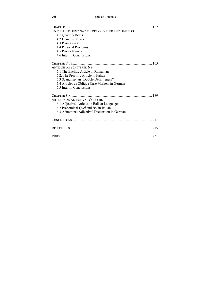#### viii Table of Contents

| ON THE DIFFERENT NATURE OF SO-CALLED DETERMINERS     |
|------------------------------------------------------|
| 4.1 Quantity Items                                   |
| 4.2 Demonstratives                                   |
| 4.3 Possessives                                      |
| 4.4 Personal Pronouns                                |
| 4.5 Proper Names                                     |
| 4.6 Interim Conclusions                              |
|                                                      |
| <b>ARTICLES AS SCATTERED NS</b>                      |
| 5.1 The Enclitic Article in Romanian                 |
| 5.2. The Proclitic Article in Italian                |
| 5.3 Scandinavian "Double Definiteness"               |
| 5.4 Articles as Oblique Case Markers in German       |
| 5.5 Interim Conclusions                              |
|                                                      |
| ARTICLES AS ADJECTIVAL CONCORD                       |
| 6.1 Adjectival Articles in Balkan Languages          |
| 6.2 Prenominal <i>Quel</i> and <i>Bel</i> in Italian |
| 6.3 Adnominal Adjectival Declension in German        |
|                                                      |
|                                                      |
|                                                      |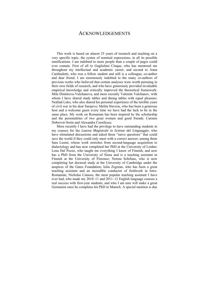## ACKNOWLEDGEMENTS

This work is based on almost 25 years of research and teaching on a very specific topic, the syntax of nominal expressions, in all its possible ramifications. I am indebted to more people than a couple of pages could ever contain. First of all to Guglielmo Cinque, who has mentored me throughout my intellectual and academic career, and second to Anna Cardinaletti, who was a fellow student and still is a colleague, co-author and dear friend. I am enormously indebted to the many co-authors of previous works who believed that certain analyses were worth pursuing in their own fields of research, and who have generously provided invaluable empirical knowledge and critically improved the theoretical framework: Mila Dimitrova-Vulchanova, and more recently Valentin Vulchanov, with whom I have shared study tables and dining tables with equal pleasure; Nedžad Leko, who also shared his personal experience of the terrible years of civil war in his dear Sarajevo; Melita Stavrou, who has been a generous host and a welcome guest every time we have had the luck to be in the same place. My work on Romanian has been inspired by the scholarship and the personalities of two great women and good friends: Carmen Dobrovie-Sorin and Alexandra Cornilescu.

More recently I have had the privilege to have outstanding students in my courses for the *Laurea Magistrale in Scienze del Linguaggio*, who have stimulated discussions and asked those "naive questions" that could save the world if they could only meet with a correct answer; among them Sara Lusini, whose work stretches from second-language acquisition to dialectology and has now completed her PhD at the University of Leiden; Lena Dal Pozzo, who taught me everything I know of Finnish, and now has a PhD from the University of Siena and is a teaching assistant in Finnish at the University of Florence; Norma Schifano, who is now completing her doctoral study at the University of Cambridge under the auspices of the Gates Foundation; Iulia Zegrean, who has been a great teaching assistant and an incredible conductor of fieldwork in Istro-Romanian; Nicholas Catasso, the most popular teaching assistant I have ever had, who made my 2010–11 and 2011–12 English language courses a real success with first-year students, and who I am sure will make a great Germanist once he completes his PhD in Munich. A special mention is due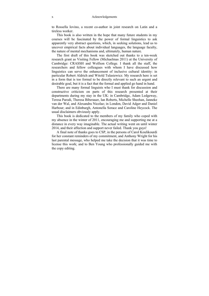to Rossella Iovino, a recent co-author in joint research on Latin and a tireless worker.

This book is also written in the hope that many future students in my courses will be fascinated by the power of formal linguistics to ask apparently very abstract questions, which, in seeking solutions, lead us to uncover empirical facts about individual languages, the language faculty, the nature of mental mechanisms and, ultimately, human nature.

The first draft of this book was sketched out thanks to a ten-week research grant as Visiting Fellow (Michaelmas 2011) at the University of Cambridge: CRASSH and Wolfson College. I thank all the staff, the researchers and fellow colleagues with whom I have discussed how linguistics can serve the enhancement of inclusive cultural identity: in particular Robert Aldrich and Witold Tulasiewicz. My research here is set in a form that is too formal to be directly relevant to such an urgent and desirable goal, but it is a fact that the formal and applied go hand in hand.

There are many formal linguists who I must thank for discussion and constructive criticism on parts of this research presented at their departments during my stay in the UK: in Cambridge, Adam Ledgeway, Teresa Parodi, Theresa Biberauer, Ian Roberts, Michelle Sheehan, Janneke van der Wal, and Alexandru Nicolae; in London, David Adger and Daniel Harbour; and in Edinburgh, Antonella Sorace and Caroline Heycock. The usual disclaimers obviously apply.

This book is dedicated to the members of my family who coped with my absence in the winter of 2011, encouraging me and supporting me at a distance in every way imaginable. The actual writing went on until winter 2014, and their affection and support never failed. Thank you guys!

A final note of thanks goes to CSP, in the persons of Carol Koulikourdi for her constant reminders of my commitment, and Anthony Wright for his last parental message, who helped me take the decision that it was time to license this work; and to Ben Young who professionally guided me with the copy editing.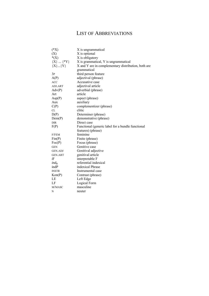## LIST OF ABBREVIATIONS

| $(*X)$         | X is ungrammatical                                  |
|----------------|-----------------------------------------------------|
| (X)            | X is optional                                       |
| $*(X)$         | X is obligatory                                     |
| ${X}$ ${*Y}$   | X is grammatical, Y is ungrammatical                |
| ${X}$ ${Y}$    | X and Y are in complementary distribution, both are |
|                | grammatical                                         |
| 3P             | third person feature                                |
| A(P)           | adjectival (phrase)                                 |
| <b>ACC</b>     | Accusative case                                     |
| ADJ.ART        | adjectival article                                  |
| Adv(P)         | adverbial (phrase)                                  |
| Art            | article                                             |
| Asp(P)         | aspect (phrase)                                     |
| Aux            | auxiliary                                           |
| C(P)           | complementizer (phrase)                             |
| CL             | clitic                                              |
| D(P)           | Determiner (phrase)                                 |
| Dem(P)         | demonstrative (phrase)                              |
| <b>DIR</b>     | Direct case                                         |
| F(P)           | Functional (generic label for a bundle functional   |
|                | features) (phrase)                                  |
| $F/$ FEM       | feminine                                            |
| Fin(P)         | Finite (phrase)                                     |
| Foc(P)         | Focus (phrase)                                      |
| <b>GEN</b>     | Genitive case                                       |
| <b>GEN.ADJ</b> | Genitival adjective                                 |
| <b>GEN.ART</b> | genitival article                                   |
| iF             | interpretable F                                     |
| $ind_{R}$      | referential indexical                               |
| indP           | indexical Phrase                                    |
| <b>INSTR</b>   | Instrumental case                                   |
| Kon(P)         | Contrast (phrase)                                   |
| LE             | Left Edge                                           |
| LF             | Logical Form                                        |
| M/MASC         | masculine                                           |
| N              | neuter                                              |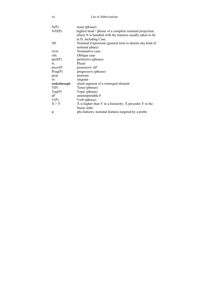| N(P)          | noun (phrase)                                                                                                       |
|---------------|---------------------------------------------------------------------------------------------------------------------|
| N/D(P)        | highest head / phrase of a complete nominal projection,<br>where N is bundled with the features usually taken to be |
|               | in D, including Case.                                                                                               |
| NE            | Nominal Expression (general term to denote any kind of                                                              |
|               | nominal phase)                                                                                                      |
| <b>NOM</b>    | Nominative case                                                                                                     |
| <b>OBL</b>    | Oblique case                                                                                                        |
| perf(P)       | perfective (phrase)                                                                                                 |
| PI.           | Plural                                                                                                              |
| possAP        | possessive AP                                                                                                       |
| Prog(P)       | progressive (phrase)                                                                                                |
| pron          | pronoun                                                                                                             |
| SG            | singular                                                                                                            |
| strikethrough | silent segment of a remerged element                                                                                |
| T(P)          | Tense (phrase)                                                                                                      |
| Top(P)        | Topic (phrase)                                                                                                      |
| uF            | uninterpretable F                                                                                                   |
| V(P)          | Verb (phrase)                                                                                                       |
| X > Y         | X is higher than Y in a hierarchy; X precedes Y in the                                                              |
|               | linear order                                                                                                        |
| $\varphi$     | phi-features: nominal features targeted by a probe                                                                  |
|               |                                                                                                                     |

xii List of Abbreviations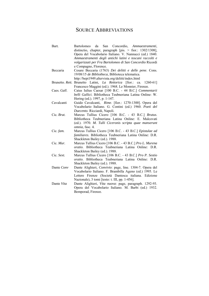## SOURCE ABBREVIATIONS

| Bart.       | da<br>San Concordio, Ammaestramenti,<br>Bartolomeo<br>distinctio, chapter, paragraph [pis. > fior.: 1302/1308], |
|-------------|-----------------------------------------------------------------------------------------------------------------|
|             | Opera del Vocabolario Italiano. V. Nannucci (ed.) 1840.                                                         |
|             | Ammaestramenti degli antichi latini e toscani raccolti e                                                        |
|             | volgarizzati per Fra Bartolomeo di San Concordio Ricordi                                                        |
|             | e Compagno, Florence.                                                                                           |
| Beccaria    | Cesare Beccaria (1763) Dei delitti e delle pene. Cons.                                                          |
|             | 19/08/15 de Bibliotheca, Biblioteca telematica.                                                                 |
|             | http://bepi1949.altervista.org/delitti/index.html                                                               |
|             | Brunetto Rett. Brunetto Latini, La Rettorica [fior.: ca. 1260-61]                                               |
|             | Francesco Maggini (ed.). 1968. Le Monnier, Firenze.                                                             |
| Caes. Gall. | Caius Iulius Caesar [100 B.C. - 44 B.C.] Commentarii                                                            |
|             | belli Gallici. Bibliotheca Teubneriana Latina Online: W.                                                        |
|             | Hering (ed.). 1997, p. 1-147.                                                                                   |
| Cavalcanti  | Guido Cavalcanti, Rime. [fior.: 1270-1300]. Opera del                                                           |
|             | Vocabolario Italiano. G. Contini (ed.) 1960. Poeti del                                                          |
|             | Duecento. Ricciardi, Napoli.                                                                                    |
| Cic. Brut.  | Marcus Tullius Cicero [106 B.C. - 43 B.C.] Brutus.                                                              |
|             | Bibliotheca Teubneriana Latina Online: E. Malcovati                                                             |
|             | (ed.). 1970. M. Tulli Ciceronis scripta quae manserunt                                                          |
|             | omnia, fasc. 4.                                                                                                 |
| Cic. fam.   | Marcus Tullius Cicero [106 B.C. - 43 B.C.] Epistulae ad                                                         |
|             | familiares. Bibliotheca Teubneriana Latina Online: D.R.                                                         |
|             | Shackleton Bailey (ed.). 1988.                                                                                  |
| Cic. Mur.   | Marcus Tullius Cicero [106 B.C. - 43 B.C.] Pro L. Murena                                                        |
|             | oratio. Bibliotheca Teubneriana Latina Online: D.R.                                                             |
|             | Shackleton Bailey (ed.). 1988.                                                                                  |
| Cic. Sext.  | Marcus Tullius Cicero [106 B.C. - 43 B.C.] Pro P. Sestio                                                        |
|             | oratio. Bibliotheca Teubneriana Latina Online: D.R.                                                             |
|             | Shackleton Bailey (ed.). 1988.                                                                                  |
| Dante Conv  | Dante Alighieri, Convivio: page, line. 1304-7. Opera del                                                        |
|             | Vocabolario Italiano. F. Brambilla Ageno (ed.) 1995. Le                                                         |
|             | Lettere Firenze (Società Dantesca italiana. Edizione                                                            |
|             | Nazionale), 3 tomi [testo: t. III, pp. 1-456].                                                                  |
| Dante Vita  | Dante Alighieri, Vita nuova: page, paragraph. 1292-93.                                                          |
|             | Opera del Vocabolario Italiano. M. Barbi (ed.) 1932.                                                            |
|             | Bemporad, Firenze.                                                                                              |
|             |                                                                                                                 |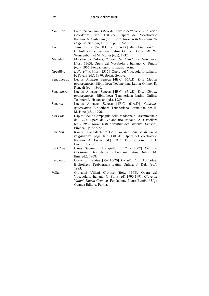*Doc Fior* Lapo Riccomanni *Libro del dare e dell'avere, e di varie ricordanze* [fior.: 1281-97]. Opera del Vocabolario Italiano. A. Castellani (ed.). 1952. *Nuovi testi fiorentini del Dugento*, Sansoni, Firenze, pp. 516-55. Liv. Titus Liuius [59 B.C. - 17 A.D.] *Ab Urbe condita*. Bibliotheca Teubneriana Latina Online: Books I-X: W. Weissenborn et M. Müller (eds). 1932. Marsilio Marsilio da Padova, *Il libro del difenditore della pace*, [fior.: 1363]. Opera del Vocabolario Italiano. C. Pincin (ed.). 1966. Fondazione L. Einaudi, Torino. *Novellino Il Novellino* [fior.: 1315]. Opera del Vocabolario Italiano. F. Favari (ed.). 1970. Bozzi, Genova. Sen. *apocol.* Lucius Annaeus Seneca [4B.C. 65A.D] *Diui Claudii apolocyntosis*. Bibliotheca Teubneriana Latina Online: R. Roncali (ed.). 1990. Sen. *contr*. Lucius Annaeus Seneca [4B.C. 65A.D] *Diui Claudii apolocyntosis*. Bibliotheca Teubneriana Latina Online: Teubner: L. Hakanson (ed.). 1989. Sen. *nat* Lucius Annaeus Seneca [4B.C. 65A.D] *Naturales quaestiones*. Bibliotheca Teubneriana Latina Online: H. M. Hine (ed.). 1996. *Stat Fior.* Capitoli della Compagnia della Madonna d'Orsammichele del 1297. Opera del Volabolario Italiano. A. Castellani (ed.) 1952. *Nuovi testi fiorentini del Dugento*. Sansoni, Firenze. Pp. 662-72. *Stat. Sen* Ranieri Gangalanti *Il Costituto del comune di Siena volgarizzato*: page, line. 1309-10. Opera del Volabolario Italiano. A. Lisini (ed.). 1903. Tip. Sordomuti di L Lazzeri, Siena. Svet. *Caes*. Caius Suetonius Tranquillus [75? - 150?] *De uita Caesarum*. Bibliotheca Teubneriana Latina Online: M. Ihm (ed.). 1908. Tac. *Agr*. Cornelius Tacitus [55-116/20] *De uita Iulii Agricolae.*  Bibliotheca Teubneriana Latina Online: J. Delz (ed.). 1983. Villani Giovanni Villani *Cronica* [fior.: 1348]. Opera del Vocabolario Italiano. G. Porta (ed) 1990-1991. *Giovanni Villani, Nuova Cronica.* Fondazione Pietro Bembo / Ugo Guanda Editore, Parma.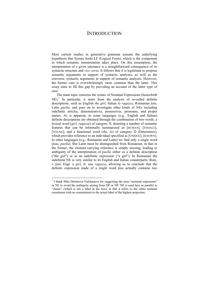## **INTRODUCTION**

Most current studies in generative grammar assume the underlying hypothesis that Syntax feeds LF (Logical Form), which is the component in which semantic interpretation takes place. On this assumption, the interpretation of a given utterance is a straightforward consequence of its syntactic structure and *vice versa*. It follows that it is legitimate to propose semantic arguments in support of syntactic analyses, as well as the converse, syntactic arguments in support of semantic analyses. However, the former case is overwhelmingly more common than the latter. This essay aims to fill this gap by providing an account of the latter type of case.

The main topic concerns the syntax of Nominal Expressions (henceforth  $NE$ ).<sup>1</sup> In particular, it starts from the analysis of so-called definite descriptions, such as English *the girl*, Italian *la ragazza*, Romanian *fata*, Latin *puella*, and goes on to investigate other kinds of NEs including indefinite articles, demonstratives, possessives, pronouns, and proper names. As is apparent, in some languages (e.g., English and Italian) definite descriptions are obtained through the combination of two words: a lexical word (*girl*, *ragazza*) of category N, denoting a number of semantic features that can be informally summarized as [HUMAN], [FEMALE], [YOUNG], and a functional word (*the*, *la*) of category D (Determiner), which provides reference to an individual specified as [UNIQUE], [KNOWN]. In other languages (e.g., Romanian and Latin) we find only a single word (*fata*, *puella*). But Latin must be distinguished from Romanian, in that in the former, the element carrying reference is simply missing, leading to ambiguity of the interpretation of *puella* either as a definite description ("the girl") or as an indefinite expression ("a girl"). In Romanian the indefinite NE is very similar to its English and Italian counterparts: Rom. *o fată*, Engl. *a girl*, It. *una ragazza*, allowing us to conclude that the definite expression made of a single word *fata* actually contains two

 $\overline{a}$ 

<sup>&</sup>lt;sup>1</sup> I thank Mila Dimitrova-Vulchanova for suggesting the term "nominal expression" or NE to avoid the ambiguity arising from DP or NP. NE is used here as parallel to "clause" (which is not a label in the tree), in that it refers to the entire nominal constituent with no commitment to the actual label of the highest projection.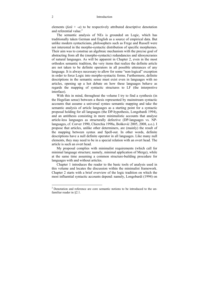elements  $(fat\tilde{a} + -a)$  to be respectively attributed descriptive denotation and referential value. $2$ 

The semantic analysis of NEs is grounded on Logic, which has traditionally taken German and English as a source of empirical data. But unlike modern syntacticians, philosophers such as Frege and Russell were not interested in the morpho-syntactic distribution of specific morphemes. Their aim was to construe an algebraic mechanism with the precise goal of abstracting from all the (morpho-syntactic) redundancies and idiosyncrasies of natural languages. As will be apparent in Chapter 2, even in the most orthodox semantic tradition, the very items that realize the definite article are not taken to be definite operators in all possible utterances of any language. It is always necessary to allow for some "non-logical" exception in order to force Logic into morpho-syntactic forms. Furthermore, definite descriptions in the semantic sense must exist even in languages with no articles, opening up a hot debate on how these languages behave as regards the mapping of syntactic structures to LF (the interpretive interface).

With this in mind, throughout the volume I try to find a synthesis (in the Hegelian sense) between a thesis represented by mainstream syntactic accounts that assume a universal syntax–semantic mapping and take the semantic analysis of article languages as a starting point for a syntactic proposal holding for all languages (the DP-hypothesis, Longobardi 1994), and an antithesis consisting in more minimalistic accounts that analyse article-less languages as structurally defective (DP-languages vs. NPlanguages, cf. Corver 1990, Chierchia 1998a, Bošković 2005, 2008, a.o.). I propose that articles, unlike other determiners, are (mainly) the result of the mapping between syntax and Spell-out. In other words, definite descriptions have a null definite operator in all languages. Like many null elements, they may need to be in a special relation with an overt head. The article is such an overt head.

My proposal complies with minimalist requirements (which call for minimal language structure; namely, minimal application of Merge), while at the same time assuming a common structure-building procedure for languages with and without articles.

Chapter 1 introduces the reader to the basic tools of analysis used in this volume and locates the discussion within the minimalist framework. Chapter 2 starts with a brief overview of the logic tradition on which the most influential syntactic accounts depend: namely, Longobardi (1994) on

 $\overline{a}$ 

<sup>&</sup>lt;sup>2</sup> Denotation and reference are core semantic notions to be introduced to the unfamiliar reader in §2.1.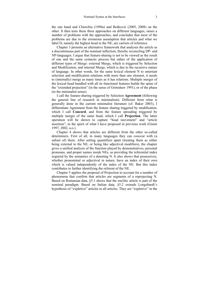the one hand and Chierchia (1998a) and Bošković (2005, 2008) on the other. It then tests these three approaches on different languages, raises a number of problems with the approaches, and concludes that most of the problems are due to the erroneous assumption that articles and what we label D, namely the highest head in the NE, are carriers of reference.

Chapter 3 presents an alternative framework that analyses the article as a discontinuous part of the nominal inflection, thereby reconciling DP- and NP-languages. I argue that feature-sharing is not to be viewed as the result of one and the same syntactic process but rather of the application of different types of Merge: external Merge, which is triggered by Selection and Modification, and internal Merge, which is due to the recursive nature of language. In other words, for the same lexical element N to entertain selection and modification relations with more than one element, it needs to (internally) merge as many times as it has relations. Multiple merger of the lexical head bundled with all its functional features builds the spine of the "extended projection" (in the sense of Grimshaw 1991), or of the phase (in the minimalist sense).

I call the feature-sharing triggered by Selection **Agreement** (following the general line of research in minimalism). Different from what is generally done in the current minimalist literature (cf. Baker 2003), I differentiate Agreement from the feature sharing triggered by modification, which I call **Concord**, and from the feature spreading triggered by multiple merger of the same head, which I call **Projection**. The latter operation will be shown to capture "head movement" and "article insertion", in the spirit of what I have proposed in previous work (Giusti 1997, 2002, a.o.).

Chapter 4 shows that articles are different from the other so-called determiners. First of all, in many languages they can cooccur with (a subset of) them. After setting quantifiers apart (treating them as either being external to the NE, or being like adjectival modifiers), the chapter gives a unified analysis of the function played by demonstratives, personal pronouns, and proper names inside NEs, as providing the referential index required by the semantics of a denoting N. It also shows that possessives, whether pronominal or adjectival in nature, have an index of their own which is valued independently of the index of the NE. But this index contributes to further identifying the referent of the NE.

Chapter 5 applies the proposal of Projection to account for a number of phenomena that confirm that articles are segments of a reprojecting N. Based on Romanian data, §5.1 shows that the enclitic article is part of the nominal paradigm. Based on Italian data, §5.2 extends Longobardi's hypothesis of "expletive" articles to all articles. They are "expletive" in the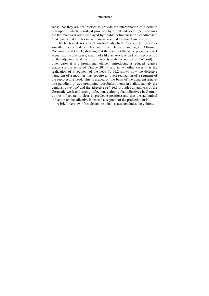#### 4 Introduction

sense that they are not inserted to provide the interpretation of a definite description, which is instead provided by a null indexical. §5.3 accounts for the micro-variation displayed by double definiteness in Scandinavian. §5.4 claims that articles in German are inserted to make Case visible.

Chapter 6 analyses special kinds of adjectival Concord. §6.1 reviews so-called adjectival articles in three Balkan languages: Albanian, Romanian, and Greek, showing that they are not the same phenomenon. I argue that in some cases, what looks like an article is part of the projection of the adjective (and therefore interacts with the notion of Concord); in other cases it is a pronominal element introducing a reduced relative clause (in the sense of Cinque 2010), and in yet other cases it is the realization of a segment of the head N. §6.2 shows how the defective paradigm of a modifier may require an overt realization of a segment of the reprojecting head. This is argued on the basis of the apparent articlelike paradigm of two prenominal vocabulary items in Italian, namely the demonstrative *quel* and the adjective *bel.* §6.3 provides an analysis of the Germanic weak and strong inflection, claiming that adjectives in German do not inflect (as is clear in predicate position) and that the adnominal inflection on the adjective is instead a segment of the projection of N.

A brief overview of results and residual issues concludes the volume.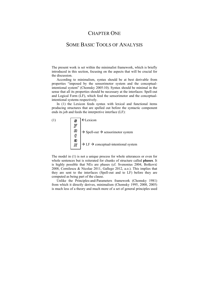## CHAPTER ONE

## SOME BASIC TOOLS OF ANALYSIS

The present work is set within the minimalist framework, which is briefly introduced in this section, focusing on the aspects that will be crucial for the discussion.

According to minimalism, syntax should be at best derivable from properties "imposed by the sensorimotor system and the conceptualintentional system" (Chomsky 2005:10). Syntax should be minimal in the sense that all its properties should be necessary at the interfaces: Spell-out and Logical Form (LF), which feed the sensorimotor and the conceptualintentional systems respectively.

In (1) the Lexicon feeds syntax with lexical and functional items producing structures that are spelled out before the syntactic component ends its job and feeds the interpretive interface (LF):

(1)  $\| \mathbf{S} \|$   $\in$  Lexicon  $\left| \begin{array}{c} U U \\ \vdots \end{array} \right| \rightarrow$  Spell-out  $\rightarrow$  sensorimotor system  $\mathbb{Z}$   $\rightarrow$  LF  $\rightarrow$  conceptual-intentional system

The model in (1) is not a unique process for whole utterances or even for whole sentences but is reiterated for chunks of structure called **phases**. It is highly possible that NEs are phases (cf. Svenonius 2004, Bošković 2008, Cornilescu & Nicolae 2011, Gallego 2012, a.o.). This implies that they are sent to the interfaces (Spell-out and to LF) before they are computed as being part of the clause.

Unlike the Principles-and-Parameters framework (Chomsky 1981) from which it directly derives, minimalism (Chomsky 1995, 2000, 2005) is much less of a theory and much more of a set of general principles used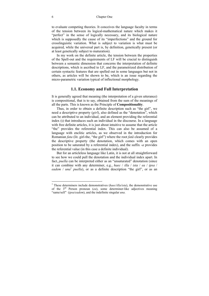to evaluate competing theories. It conceives the language faculty in terms of the tension between its logical-mathematical nature which makes it "perfect" in the sense of logically necessary, and its biological nature which is supposedly the cause of its "imperfections" and the ground for crosslinguistic variation. What is subject to variation is what must be acquired, while the universal part is, by definition, genetically present (or at least genetically subject to maturation).

In my work on the definite article, the tension between the properties of the Spell-out and the requirements of LF will be crucial to distinguish between a semantic dimension that concerns the interpretation of definite descriptions, which is ascribed to LF, and the parametrized distribution of certain syntactic features that are spelled out in some languages but not in others, as articles will be shown to be, which is an issue regarding the micro-parametric variation typical of inflectional morphology.

#### **1.1. Economy and Full Interpretation**

It is generally agreed that meaning (the interpretation of a given utterance) is compositional, that is to say, obtained from the sum of the meanings of all the parts. This is known as the Principle of **Compositionality**.

Thus, in order to obtain a definite description such as "the girl", we need a descriptive property (*girl*), also defined as the "denotation", which can be attributed to an individual, and an element providing the referential index (ι) that introduces such an individual in the discourse. In a language with free definite articles, it is just about intuitive to assume that the article "the" provides the referential index. This can also be assumed of a language with enclitic articles, as we observed in the introduction for Romanian *fata* (lit. girl-the, "the girl") where the root *fată* clearly provides the descriptive property (the denotation, which comes with an open position to be saturated by a referential index), and the suffix -*a* provides the referential value (in this case a definite individual).

But for an articleless language like Latin, it is not at all straightforward to see how we could pull the denotation and the individual index apart. In fact, *puella* can be interpreted either as an "unsaturated" denotation (since it can combine with any determiner, e.g., *haec* / *illa* / *ista* / *ea* / *ipsa* / eadem / *una*<sup>1</sup> puella), or as a definite description "the girl", or as an

 1 These determiners include demonstratives (*haec*/*illa*/*ista*), the demonstrative use of the 3rd Person pronoun (*ea*), some determiner-like adjectives meaning "same/self" (*ipsa*/*eadem*), and the indefinite singular *una*.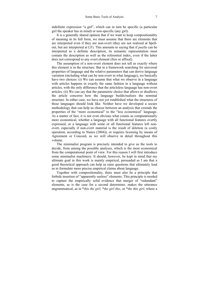indefinite expression "a girl", which can in turn be specific (a particular girl the speaker has in mind) or non-specific (any girl).

It is a generally shared opinion that if we want to keep compositionality of meaning in its full form, we must assume that there are elements that are interpreted even if they are non-overt (they are not realized at Spellout, but are interpreted at LF). This amounts to saying that if *puella* can be interpreted as a definite description, its semantic representation must contain the description as well as the referential index, even if the latter does not correspond to any overt element (free or affixal).

The assumption of a non-overt element does not tell us exactly where this element is in the structure. But in a framework searching for universal properties of language and the relative parameters that can derive language variation (including what can be non-overt in what language), we basically have two choices: (i) We can assume that what we observe in a language with articles happens in exactly the same fashion in a language without articles, with the only difference that the articleless language has non-overt articles. (ii) We can say that the parametric choice that allows or disallows the article concerns how the language builds/realizes the nominal structure. In either case, we have not yet established what the structures of these languages should look like. Neither have we developed a secure methodology that can help us choose between an analysis that extends the properties of the "more economical" to the "less economical" language. As a matter of fact, it is not even obvious what counts as computationally more economical, whether a language with all functional features overtly expressed, or a language with some or all functional features left nonovert, especially if non-overt material is the result of deletion (a costly operation, according to Nunes (2004)), or requires licensing by means of Agreement or Concord, as we will observe in detail throughout this volume.

The minimalist program is precisely intended to give us the tools to decide, from among the possible analyses, which is the most economical from the computational point of view. For this reason I will first introduce some minimalist machinery. It should, however, be kept in mind that my ultimate goal in this work is mainly empirical, persuaded as I am that a good theoretical approach can help us raise questions that ultimately lead us to formulate more precise empirical claims about language.

Together with compositionality, there must also be a principle that forbids insertion of "apparently useless" elements. This principle is needed to capture the empirically solid evidence that merger of "redundant" elements, as is the case for a second determiner, makes the utterance ungrammatical, as in \**this the girl*, \**the girl this*, or \**the this girl*, where a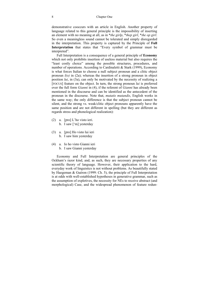#### 8 Chapter One

demonstrative cooccurs with an article in English. Another property of language related to this general principle is the impossibility of inserting an element with no meaning at all, as in \**the girlp*, \**thep girl*, \**the op girl*. So even a meaningless sound cannot be tolerated and simply disregarded in the interpretation. This property is captured by the Principle of **Full Interpretation** that states that "Every symbol of grammar must be interpreted".

Full Interpretation is a consequence of a general principle of **Economy** which not only prohibits insertion of useless material but also requires the "least costly choice" among the possible structures, procedures, and number of operations. According to Cardinaletti & Stark (1999), Economy is what forces Italian to choose a null subject pronoun and a clitic object pronoun *l(o)* in (2a); whereas the insertion of a strong pronoun in object position *lui*, in (3a), can only be motivated by the necessity of realizing a [FOCUS] feature on the object. In turn, the strong pronoun *lui* is preferred over the full form *Gianni* in (4), if the referent of *Gianni* has already been mentioned in the discourse and can be identified as the antecedent of the pronoun in the discourse. Note that, *mutatis mutandis*, English works in the same way; the only difference is that the subject pronoun cannot be silent, and the strong vs. weak/clitic object pronouns apparently have the same position and are not different in spelling (but they are different as regards stress and phonological realization):

- (2) a. [pro] L'ho visto ieri. b. I saw ['m] yesterday
- (3) a. [pro] Ho visto lui ieri b. I saw him yesterday
- (4) a. Io ho visto Gianni ieri b. I saw Gianni yesterday

Economy and Full Interpretation are general principles of the Ockham's razor kind, and, as such, they are necessary properties of any scientific theory of language. However, their application to the hard, everyday work of linguistics is not without problems. As beautifully stated by Haegeman & Guéron (1999: Ch. 5), the principle of Full Interpretation is at odds with well-established hypotheses in generative grammar, such as the assumption of expletives, the necessity for NEs to receive abstract (and morphological) Case, and the widespread phenomenon of feature redun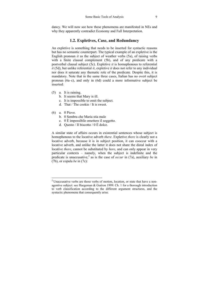dancy. We will now see how these phenomena are manifested in NEs and why they apparently contradict Economy and Full Interpretation.

### **1.2. Expletives, Case, and Redundancy**

An expletive is something that needs to be inserted for syntactic reasons but has no semantic counterpart. The typical example of an expletive is the English pronoun *it* as the subject of weather verbs (5a), of raising verbs with a finite clausal complement (5b), and of any predicate with a postverbal clausal subject (5c). Expletive *it* is homophonous to referential *it* (5d), but unlike referential *it*, expletive *it* does not refer to any individual nor does it saturate any thematic role of the predicate. Despite this, it is mandatory. Note that in the same three cases, Italian has no overt subject pronoun (6a–c), and only in (6d) could a more informative subject be inserted:

- (5) a. It is raining.
	- b. It seems that Mary is ill.
	- c. It is impossible to omit the subject.
	- d. That / The cookie / It is sweet.
- (6) a. 0 Piove.

 $\overline{a}$ 

- b. 0 Sembra che Maria stia male
- c. 0 È impossibile omettere il soggetto.
- d. Ouesto / Il biscotto /  $0 \triangle$  dolce.

A similar state of affairs occurs in existential sentences whose subject is homophonous to the locative adverb *there*. Expletive *there* is clearly not a locative adverb, because it is in subject position, it can cooccur with a locative adverb, and unlike the latter it does not share the distal index of locative *there*, cannot be substituted by *here*, and can only appear in very particular contexts – namely, when the subject is indefinite and the predicate is unaccusative,<sup>2</sup> as is the case of *occur* in (7a), auxiliary *be* in (7b), or copula *be* in (7c):

 $2^2$  Unaccusative verbs are those verbs of motion, location, or state that have a nonagentive subject: see Haegeman & Guéron 1999: Ch. 1 for a thorough introduction to verb classification according to the different argument structures, and the syntactic phenomena that consequently arise.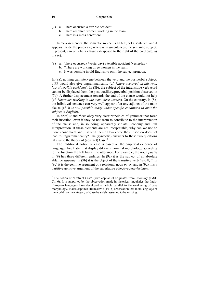- (7) a. There occurred a terrible accident.
	- b. There are three women working in the team.
	- c. There is a mess here/there.

 In *there*-sentences, the semantic subject is an NE, not a sentence, and it appears inside the predicate; whereas in *it*-sentences, the semantic subject, if present, can only be a clause extraposed to the right of the predicate, as in (8c):

- (8) a. There occurred (\*yesterday) a terrible accident (yesterday).
	- b. \*There are working three women in the team.
	- c. It was possible in old English to omit the subject pronoun.

In (8a), nothing can intervene between the verb and the postverbal subject: a PP would also give ungrammaticality (cf. \**there occurred on this road lots of terrible accidents*). In (8b), the subject of the intransitive verb *work* cannot be displaced from the post-auxiliary/preverbal position observed in (7b). A further displacement towards the end of the clause would not help (cf. \**there are working in the team three women*). On the contrary, in (8c) the infinitival sentence can very well appear after any adjunct of the main clause (cf. *It is still possible today under specific conditions to omit the subject in English*).

In brief, *it* and *there* obey very clear principles of grammar that force their insertion, even if they do not seem to contribute to the interpretation of the clause and, in so doing, apparently violate Economy and Full Interpretation. If these elements are not interpretable, why can we not be more economical and just omit them? How come their insertion does not lead to ungrammaticality? The (syntactic) answers to these two questions take us to the theory of (abstract) Case. $3$ 

The traditional notion of case is based on the empirical evidence of languages like Latin that display different nominal morphology according to the function the NE has in the utterance. For example, the noun *puella* in (9) has three different endings. In (9a) it is the subject of an absolute ablative *stupente*; in (9b) it is the object of the transitive verb *transfigit*; in (9c) it is the genitive argument of a relational noun *pater*; and in (9d) it is a partitive genitive argument of the superlative adjective *festivissimam*:

 $\overline{a}$ 

<sup>&</sup>lt;sup>3</sup> The notion of "abstract Case" (with capital C) originates from Chomsky (1981: Ch. 6). It is supported by the observation made in historical linguistics that Indo-European languages have developed an article parallel to the weakening of case morphology. It also captures Hjelmslev's (1935) observation that in no language of the world can the category of Case be safely assumed to be missing.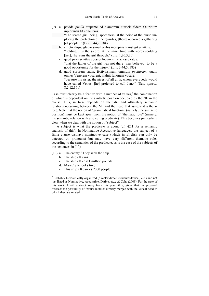(9) a. pavida *puella* stupente ad clamorem nutricis fidem Quiritium inplorantis fit concursus.

 "The scared girl [being] speechless, at the noise of the nurse imploring the protection of the Quirites, [there] occurred a gathering [of people]." (Liv. 3,44,7, 184)

- b. stricto itaque gladio simul verbis increpans transfigit *puellam*. "holding thus the sword, at the same time with words scolding [her], [he] runs the girl through." (Liv.  $1,26,3,30$ )
- c. quod pater *puellae* abesset locum iniuriae esse ratus. "that the father of the girl was not there [was believed] to be a good opportunity for the injury." (Liv. 3,44,5, 183)
- d. quod sororem suam, festivissimam omnium *puellarum*, quam omnes Venerem vocarent, maluit Iunonem vocare. "because his sister, the nicest of all girls, whom everybody would have called Venus, [he] preferred to call Juno." (Sen. *apocol*. 8,2,12,161)

Case must clearly be a feature with a number of values, $4$  the combination of which is dependent on the syntactic position occupied by the NE in the clause. This, in turn, depends on thematic and ultimately semantic relations occurring between the NE and the head that assigns it a thetarole. Note that the notion of "grammatical function" (namely, the syntactic position) must be kept apart from the notion of "thematic role" (namely, the semantic relation with a selecting predicate). This becomes particularly clear when we deal with the notion of "subject".

A subject is what the predicate is about (cf. §2.1 for a semantic analysis of this). In Nominative-Accusative languages, the subject of a finite clause displays nominative case (which in English can only be detected on pronouns) but may have very different thematic roles according to the semantics of the predicate, as is the case of the subjects of the sentences in (10):

- (10) a. The enemy / They sank the ship.
	- b. The ship / It sank.

 $\overline{a}$ 

- c. The ship / It cost 1 million pounds.
- d. Mary / She looks tired.
- e. This ship / It carries 2000 people.

<sup>&</sup>lt;sup>4</sup> Probably hierarchically organized (direct/indirect, structural/lexical, etc.) and not just listed as Nominative, Accusative, Dative, etc.; cf. Caha (2009). For the sake of this work, I will abstract away from this possibility, given that my proposal foresees the possibility of feature bundles directly merged with the lexical head to which they are related.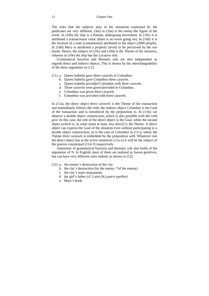The roles that the subjects play in the situations expressed by the predicates are very different. Only in (10a) is *the enemy* the Agent of the event. In (10b) *the ship* is a Patient, undergoing movement. In (10c) it is attributed a transactional value (there is no event going on). In (10d) it is the location of a state (containment) attributed to the object (*2000 people*). In (10d) *Mary* is attributed a property (*tired*) to be perceived by the eye (*look*). Hence, the subject of (10c) and (10d) is the Theme of the situation, whereas in (10e) *the ship* has the Locative role.

Grammatical function and thematic role are also independent as regards direct and indirect objects. This is shown by the interchangeability of the three arguments in (11):

- (11) a. Queen Isabella gave three caravels to Columbus.
	- b. Queen Isabella gave Columbus three caravels.
	- c. Queen Isabella provided Columbus with three caravels.
	- d. Three caravels were given/provided to Columbus.
	- e. Columbus was given three caravels.
	- f. Columbus was provided with three caravels.

In (11a), the direct object *three caravels* is the Theme of the transaction and immediately follows the verb, the indirect object *Columbus* is the Goal of the transaction and is introduced by the preposition *to*. In (11b), we observe a double object construction, which is also possible with the verb *give*. In this case, the role of the direct object is the Goal, while the second object (which is, in some sense at least, less direct) is the Theme. A direct object can express the Goal of the situation even without participating in a double object construction, as is the case of *Columbus* in (11c), where the Theme *three caravels* is embedded by the preposition *with*. Whatever role the direct object has in the active sentences (11a–c) it will be the subject of the passive counterpart (11d–f) respectively.

Autonomy of grammatical function and thematic role also holds of the arguments of N. In English, most of them are realized as Saxon genitives, but can have very different roles indeed, as shown in (12):

- (12) a. the enemy's destruction of the city
	- b. the city's destruction (by the enemy /\*of the enemy)
	- c. the city's main monuments
	- d. the girl's father (cf. Latin (9c) *patris puellae*)
	- e. Mary's book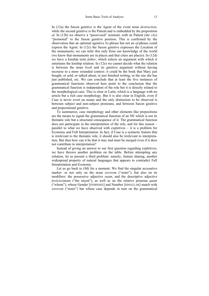In (12a) the Saxon genitive is the Agent of the event noun *destruction*; while the second genitive is the Patient and is embedded by the preposition *of*. In (12b) we observe a "passivized" nominal, with its Patient (*the city*) "promoted" to the Saxon genitive position. This is confirmed by the observation that an optional agentive *by*-phrase but not an *of*-phrase could express the Agent. In (12c) the Saxon genitive expresses the Location of the monuments; we can infer this only from our knowledge of the world (we know that monuments are in places and that cities are places). In (12d) we have a kinship term *father*, which selects an argument with which it entertains the kinship relation. In (12e) we cannot decide what the relation is between the noun *book* and its genitive argument without having recourse to a more extended context: it could be the book that Mary just bought, or sold, or talked about, or just finished writing, or the one she has just published, etc. We can conclude that at least the five instances of grammatical functions observed here point to the conclusion that the grammatical function is independent of the role but it is directly related to the morphological case. This is clear in Latin, which is a language with no article but a rich case morphology. But it is also clear in English, even if Case is never overt on nouns and the only distinction to be observed is between subject and non-subject pronouns, and between Saxon genitive and prepositional genitive.

To summarize, case morphology and other elements like prepositions are the means to signal the grammatical function of an NE which is not its thematic role but a structural consequence of it. The grammatical function does not participate in the interpretation of the role, and for this reason – parallel to what we have observed with expletives – it is a problem for Economy and Full Interpretation. In fact, if Case is a syntactic feature that is irrelevant to the thematic role, it should also be irrelevant to interpretation. But then how can it be that it may and must be merged even if it does not contribute to interpretation?

Instead of giving an answer to our first question regarding expletives, we have thrown another problem on the table. Before attempting any solution, let us present a third problem: namely, feature sharing, another widespread property of natural languages that appears to contradict Full Interpretation and Economy.

Let us go back to (9d) for a moment. We find the singular accusative marker -*m* not only on the noun *sororem* ("sister"), but also on its modifiers: the possessive adjective *suam*, and the descriptive adjective *festivissimam* ("the nicest"), as well as on the relative pronoun *quam*  ("whom"), whose Gender [FEMININE] and Number [SINGULAR] match with *sororem* ("sister") but whose case depends in turn on the grammatical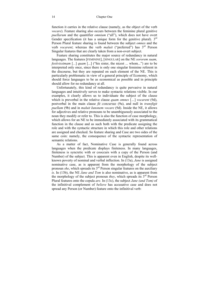#### 14 Chapter One

function it carries in the relative clause (namely, as the object of the verb *vocare*). Feature sharing also occurs between the feminine plural genitive *puellarum* and the quantifier *omnium* ("all"), which does not have overt Gender specification (it has a unique form for the genitive plural).  $3<sup>rd</sup>$ Person Plural feature sharing is found between the subject *omnes* and the verb *vocarent*; whereas the verb *maluit* ("preferred") has 3rd Person Singular features that are clearly taken from a non-overt subject.

Feature sharing constitutes the major source of redundancy in natural languages. The features [FEMININE], [SINGULAR] on the NE *sororem suam, festivissimam* [*...*] *quam* [...] ("his sister, the nicest ... whom...") are to be interpreted only once, since there is only one singular feminine referent in the discourse, but they are repeated on each element of the NE. This is particularly problematic in view of a general principle of Economy, which should force languages to be as economical as possible and in principle should allow for no redundancy at all.

Unfortunately, this kind of redundancy is quite pervasive in natural languages and intuitively serves to make syntactic relations visible. In our examples, it clearly allows us to individuate the subject of the clause which is preverbal in the relative clause *quam omnes* [*…*] *vocarent* (9d), postverbal in the main clause *fit concursus* (9a), and null in *transfigit puellam* (9b) and in *maluit Iunonem vocare* (9d). Inside the NE, it allows for adjectives and relative pronouns to be unambiguously associated to the noun they modify or refer to. This is also the function of case morphology, which allows for an NE to be immediately associated with its grammatical function in the clause and as such both with the predicate assigning the role and with the syntactic structure in which this role and other relations are assigned and checked. So feature sharing and Case are two sides of the same coin: namely, the consequence of the syntactic representation of semantic relations.

As a matter of fact, Nominative Case is generally found across languages when the predicate displays finiteness. In many languages, finiteness is syncretic with or cooccurs with a copy of the Person (and Number) of the subject. This is apparent even in English, despite its wellknown poverty of nominal and verbal inflection. In (13a), *Jane* is assigned nominative case, as is apparent from the morphology of the subject pronoun *she*, which spreads its 3<sup>rd</sup> Person singular features on the auxiliary *is*. In (13b), the NE *Jane and Tom* is also nominative, as is apparent from the morphology of the subject pronoun *they*, which spreads its  $3<sup>rd</sup>$  Person Plural features onto the copula *are*. In (13c), the subject *Jane (and Tom)* of the infinitival complement of *believe* has accusative case and does not spread any Person (or Number) feature onto the infinitival verb: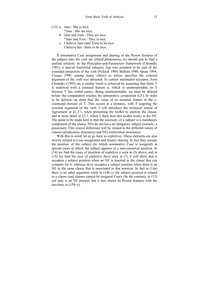- (13) a. Jane / She is nice. \*Jane / She are nice.
	- b. Jane and Tom / They are nice. \*Jane and Tom / They is nice.
	- c. I believe Jane (and Tom) to be nice. I believe her / them to be nice.

If nominative Case assignment and sharing of the Person features of the subject onto the verb are related phenomena, we should aim to find a unified solution. In the Principles-and-Parameters framework (Chomsky 1981), a special functional category Agr was assumed to be part of the extended projection of the verb (Pollock 1989, Belletti 1990, Speas 1994, Cinque 1999, among many others) in whose specifier the external argument of the verb was attracted. In current minimalist accounts, from Chomsky (1995) on, a similar result is achieved by assuming that finite T is endowed with a nominal feature φ, which is uninterpretable on T because T has verbal nature. Being uninterpretable, *u*φ must be deleted before the computation reaches the interpretive component (LF). In order to be deleted, *u*φ must find the value of its nominal feature in the ccommand domain of T. This occurs at a distance, with T targeting the external argument of the verb. I will introduce the technical notion of Agreement in §1.3.1, when presenting the toolkit to analyse the clause, and in more detail in §3.1, where I show how this toolkit works in the NE. The point to be made here is that the necessity of a subject is a mandatory component of the clause. NEs do not have an obligatory subject (namely, a possessor). This crucial difference will be related to the different nature of clauses (predication structures) and NEs (referential structures).

With this in mind, let us go back to expletives. These elements are also strictly related to Case assignment and feature sharing. In fact they occupy the position of the subject (to which nominative Case is assigned) in special cases in which the subject appears in a non-canonical position. In (14) we find the cases of insertion of expletive *it* seen in (5) above, and in (15) we find the case of expletive *there* seen in (7). I will show that *it* occupies a subject position when no NE is inserted in the clause that can compete for it; whereas *there* occupies a subject position when there is an NE in the same clause that is associated to that position. In fact in (14a) there is no other argument while in (14b–c) the subject position is related to a clause (and clauses cannot be assigned Case). On the contrary, in (15) not only is an NE present, but it also shares its Person features with the auxiliary in (15b–c):